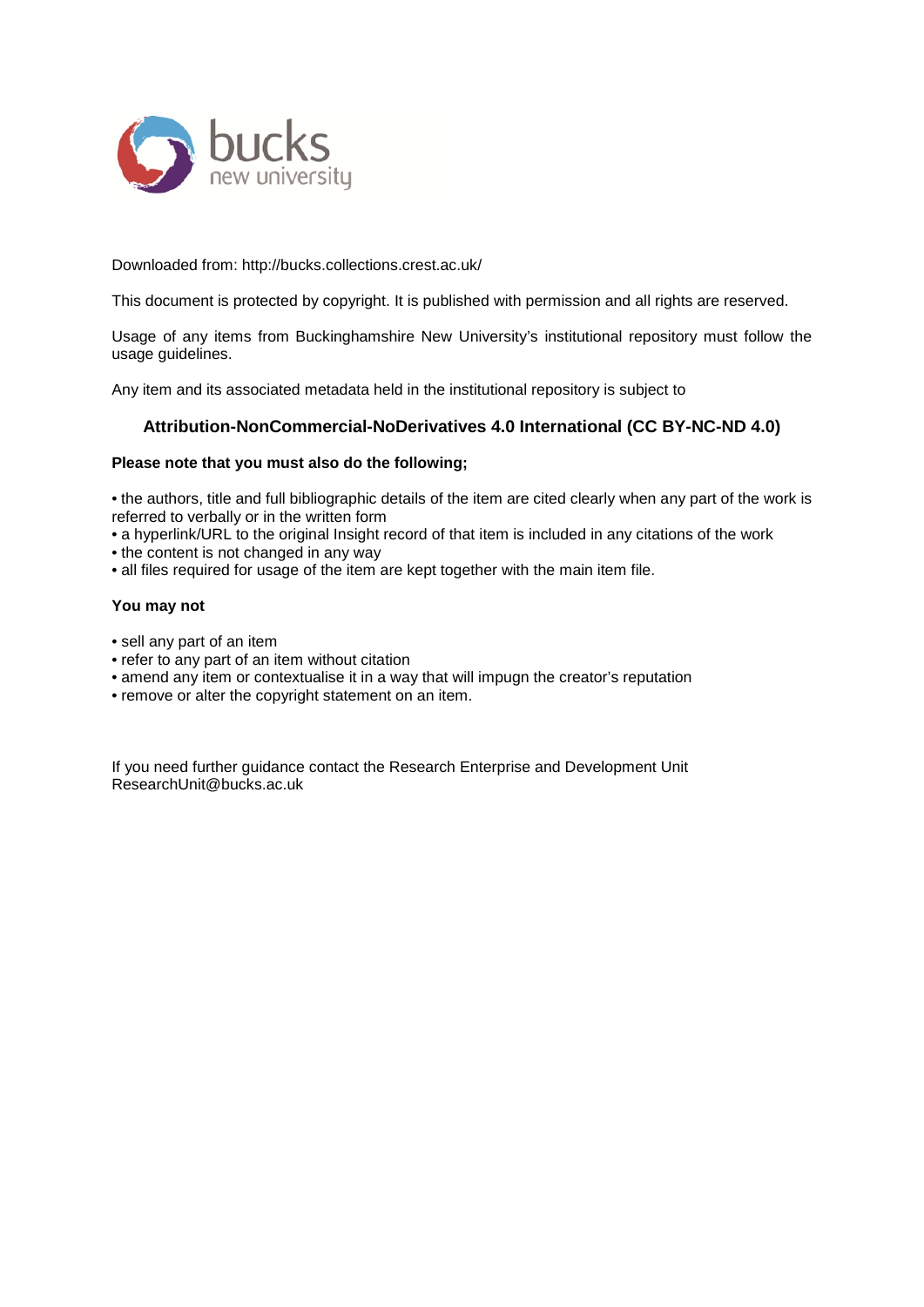

Downloaded from: http://bucks.collections.crest.ac.uk/

This document is protected by copyright. It is published with permission and all rights are reserved.

Usage of any items from Buckinghamshire New University's institutional repository must follow the usage guidelines.

Any item and its associated metadata held in the institutional repository is subject to

#### **Attribution-NonCommercial-NoDerivatives 4.0 International (CC BY-NC-ND 4.0)**

#### **Please note that you must also do the following;**

• the authors, title and full bibliographic details of the item are cited clearly when any part of the work is referred to verbally or in the written form

• a hyperlink/URL to the original Insight record of that item is included in any citations of the work

- the content is not changed in any way
- all files required for usage of the item are kept together with the main item file.

#### **You may not**

- sell any part of an item
- refer to any part of an item without citation
- amend any item or contextualise it in a way that will impugn the creator's reputation
- remove or alter the copyright statement on an item.

If you need further guidance contact the Research Enterprise and Development Unit ResearchUnit@bucks.ac.uk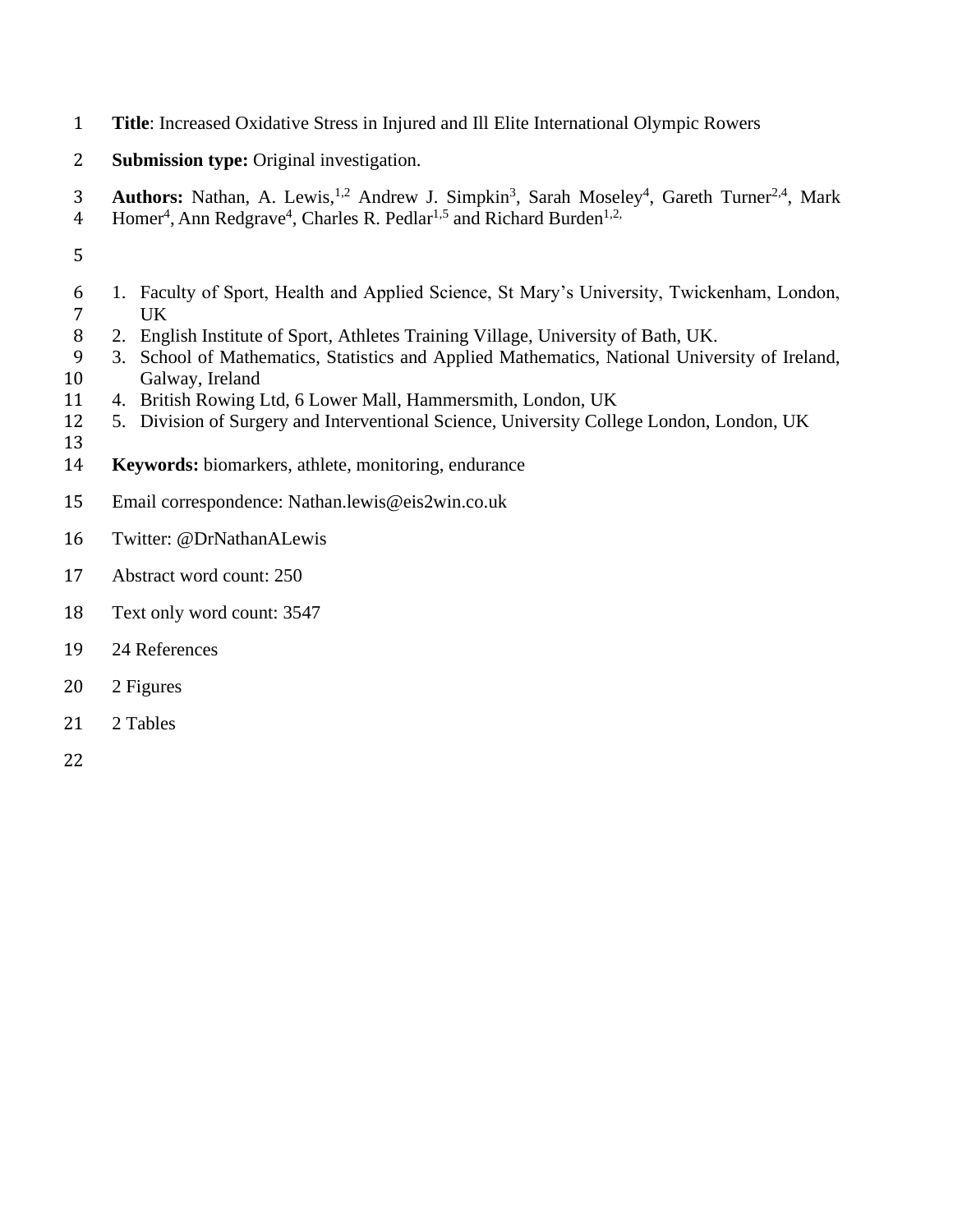- **Title**: Increased Oxidative Stress in Injured and Ill Elite International Olympic Rowers
- **Submission type:** Original investigation.
- 3 **Authors:** Nathan, A. Lewis,<sup>1,2</sup> Andrew J. Simpkin<sup>3</sup>, Sarah Moseley<sup>4</sup>, Gareth Turner<sup>2,4</sup>, Mark
- 4 Homer<sup>4</sup>, Ann Redgrave<sup>4</sup>, Charles R. Pedlar<sup>1,5</sup> and Richard Burden<sup>1,2,</sup>
- 
- 1. Faculty of Sport, Health and Applied Science, St Mary's University, Twickenham, London, UK
- 2. English Institute of Sport, Athletes Training Village, University of Bath, UK.
- 3. School of Mathematics, Statistics and Applied Mathematics, National University of Ireland, Galway, Ireland
- 4. British Rowing Ltd, 6 Lower Mall, Hammersmith, London, UK
- 5. Division of Surgery and Interventional Science, University College London, London, UK
- 
- **Keywords:** biomarkers, athlete, monitoring, endurance
- Email correspondence: [Nathan.lewis@eis2win.co.uk](mailto:Nathan.lewis@eis2win.co.uk)
- Twitter: @DrNathanALewis
- Abstract word count: 250
- Text only word count: 3547
- 24 References
- 2 Figures
- 2 Tables
-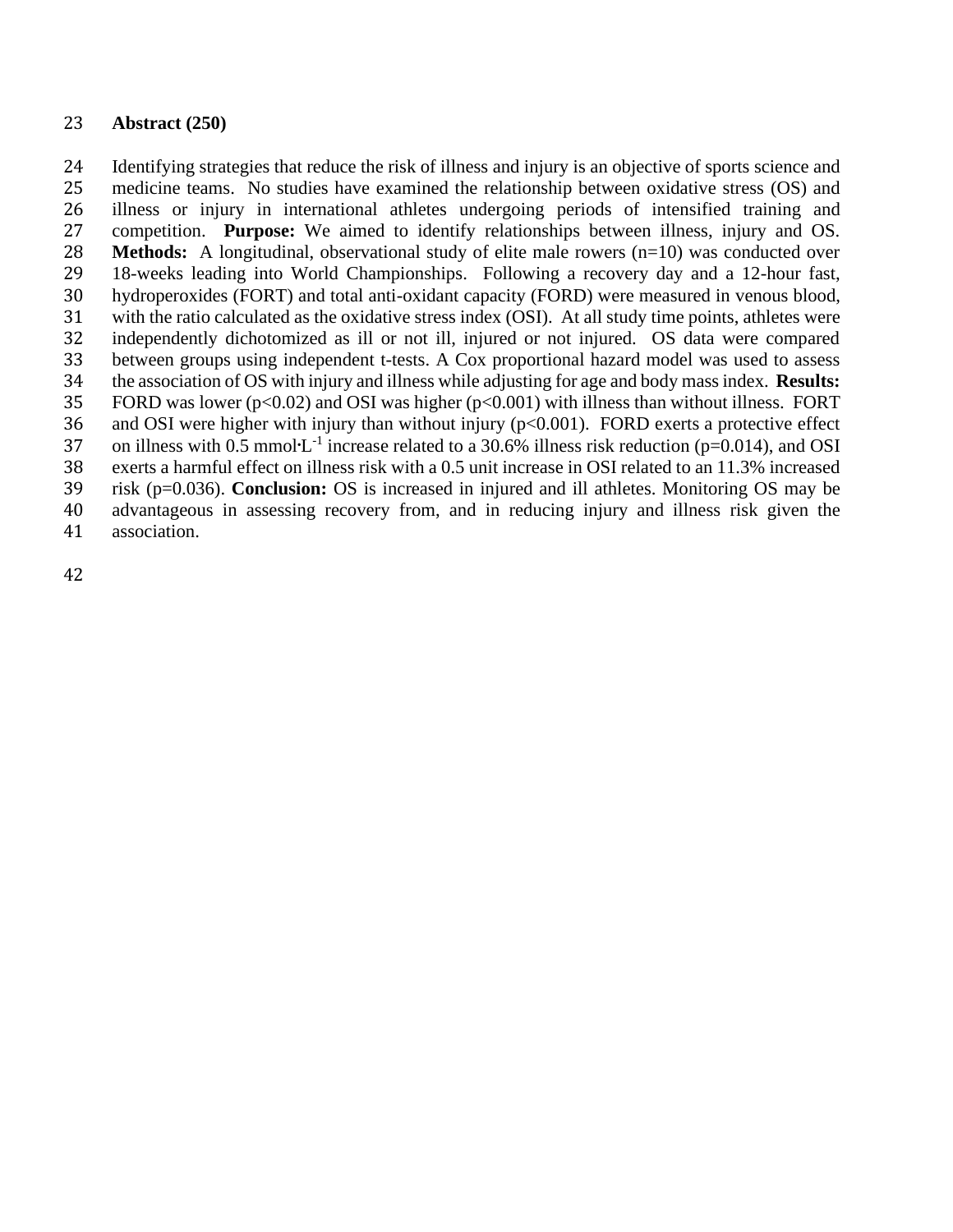### **Abstract (250)**

 Identifying strategies that reduce the risk of illness and injury is an objective of sports science and medicine teams. No studies have examined the relationship between oxidative stress (OS) and illness or injury in international athletes undergoing periods of intensified training and competition. **Purpose:** We aimed to identify relationships between illness, injury and OS. **Methods:** A longitudinal, observational study of elite male rowers (n=10) was conducted over 18-weeks leading into World Championships. Following a recovery day and a 12-hour fast, hydroperoxides (FORT) and total anti-oxidant capacity (FORD) were measured in venous blood, with the ratio calculated as the oxidative stress index (OSI). At all study time points, athletes were independently dichotomized as ill or not ill, injured or not injured. OS data were compared between groups using independent t-tests. A Cox proportional hazard model was used to assess the association of OS with injury and illness while adjusting for age and body mass index. **Results:** 35 FORD was lower ( $p<0.02$ ) and OSI was higher ( $p<0.001$ ) with illness than without illness. FORT 36 and OSI were higher with injury than without injury ( $p<0.001$ ). FORD exerts a protective effect 37 on illness with 0.5 mmol $L^{-1}$  increase related to a 30.6% illness risk reduction (p=0.014), and OSI exerts a harmful effect on illness risk with a 0.5 unit increase in OSI related to an 11.3% increased risk (p=0.036). **Conclusion:** OS is increased in injured and ill athletes. Monitoring OS may be advantageous in assessing recovery from, and in reducing injury and illness risk given the

association.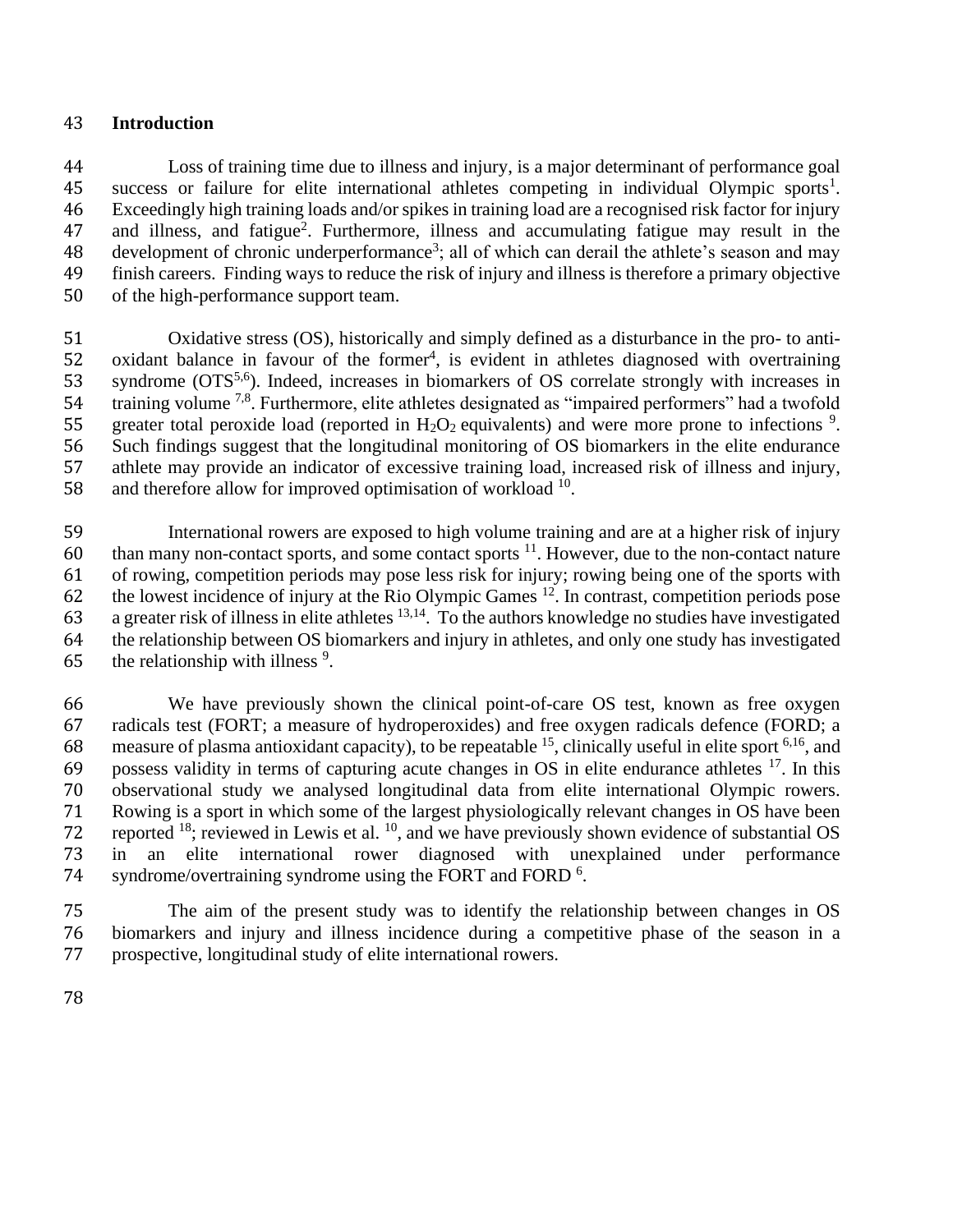### **Introduction**

 Loss of training time due to illness and injury, is a major determinant of performance goal 45 success or failure for elite international athletes competing in individual Olympic sports<sup>1</sup>. Exceedingly high training loads and/or spikes in training load are a recognised risk factor for injury 47 and illness, and fatigue<sup>2</sup>. Furthermore, illness and accumulating fatigue may result in the 48 development of chronic underperformance<sup>3</sup>; all of which can derail the athlete's season and may finish careers. Finding ways to reduce the risk of injury and illness is therefore a primary objective of the high-performance support team.

 Oxidative stress (OS), historically and simply defined as a disturbance in the pro- to anti-52 oxidant balance in favour of the former<sup>4</sup>, is evident in athletes diagnosed with overtraining 53 syndrome  $(OTS^{5,6})$ . Indeed, increases in biomarkers of OS correlate strongly with increases in 54 training volume <sup>7,8</sup>. Furthermore, elite athletes designated as "impaired performers" had a twofold 55 greater total peroxide load (reported in  $H_2O_2$  equivalents) and were more prone to infections <sup>9</sup>. Such findings suggest that the longitudinal monitoring of OS biomarkers in the elite endurance athlete may provide an indicator of excessive training load, increased risk of illness and injury, 58 and therefore allow for improved optimisation of workload .

 International rowers are exposed to high volume training and are at a higher risk of injury 60 than many non-contact sports, and some contact sports . However, due to the non-contact nature of rowing, competition periods may pose less risk for injury; rowing being one of the sports with 62 the lowest incidence of injury at the Rio Olympic Games . In contrast, competition periods pose 63 a greater risk of illness in elite athletes  $13,14$ . To the authors knowledge no studies have investigated the relationship between OS biomarkers and injury in athletes, and only one study has investigated 65 the relationship with illness  $\frac{9}{2}$ .

 We have previously shown the clinical point-of-care OS test, known as free oxygen radicals test (FORT; a measure of hydroperoxides) and free oxygen radicals defence (FORD; a 68 measure of plasma antioxidant capacity), to be repeatable  $^{15}$ , clinically useful in elite sport  $^{6,16}$ , and 69 possess validity in terms of capturing acute changes in OS in elite endurance athletes  $^{17}$ . In this observational study we analysed longitudinal data from elite international Olympic rowers. Rowing is a sport in which some of the largest physiologically relevant changes in OS have been 72 reported ; reviewed in Lewis et al.  $10$ , and we have previously shown evidence of substantial OS in an elite international rower diagnosed with unexplained under performance 74 syndrome/overtraining syndrome using the FORT and FORD  $<sup>6</sup>$ .</sup>

 The aim of the present study was to identify the relationship between changes in OS biomarkers and injury and illness incidence during a competitive phase of the season in a prospective, longitudinal study of elite international rowers.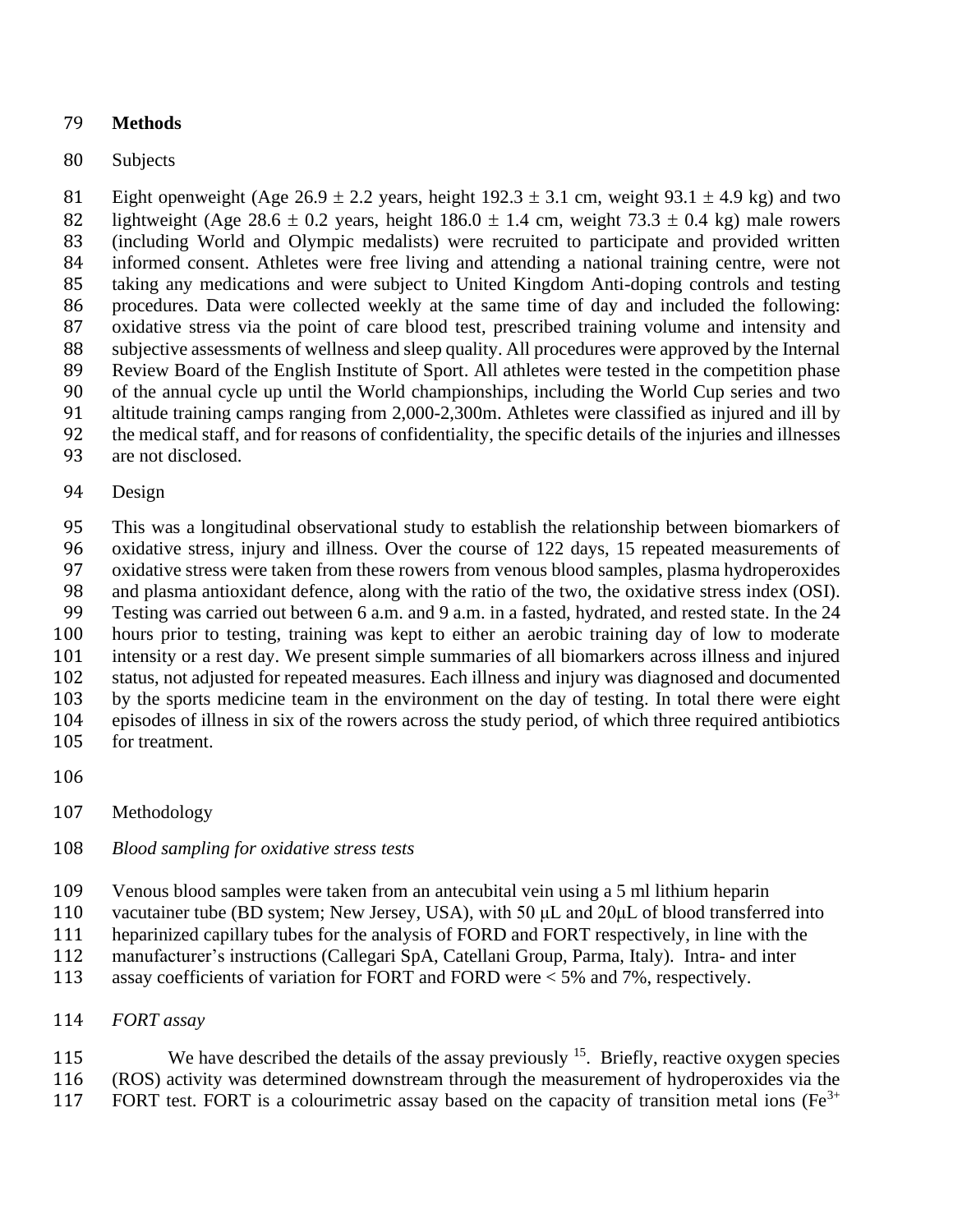## **Methods**

## Subjects

81 Eight openweight (Age  $26.9 \pm 2.2$  years, height  $192.3 \pm 3.1$  cm, weight  $93.1 \pm 4.9$  kg) and two 82 lightweight (Age 28.6  $\pm$  0.2 years, height 186.0  $\pm$  1.4 cm, weight 73.3  $\pm$  0.4 kg) male rowers (including World and Olympic medalists) were recruited to participate and provided written informed consent. Athletes were free living and attending a national training centre, were not taking any medications and were subject to United Kingdom Anti-doping controls and testing procedures. Data were collected weekly at the same time of day and included the following: oxidative stress via the point of care blood test, prescribed training volume and intensity and subjective assessments of wellness and sleep quality. All procedures were approved by the Internal Review Board of the English Institute of Sport. All athletes were tested in the competition phase of the annual cycle up until the World championships, including the World Cup series and two altitude training camps ranging from 2,000-2,300m. Athletes were classified as injured and ill by the medical staff, and for reasons of confidentiality, the specific details of the injuries and illnesses

are not disclosed.

### Design

 This was a longitudinal observational study to establish the relationship between biomarkers of oxidative stress, injury and illness. Over the course of 122 days, 15 repeated measurements of oxidative stress were taken from these rowers from venous blood samples, plasma hydroperoxides and plasma antioxidant defence, along with the ratio of the two, the oxidative stress index (OSI). Testing was carried out between 6 a.m. and 9 a.m. in a fasted, hydrated, and rested state. In the 24 hours prior to testing, training was kept to either an aerobic training day of low to moderate intensity or a rest day. We present simple summaries of all biomarkers across illness and injured status, not adjusted for repeated measures. Each illness and injury was diagnosed and documented by the sports medicine team in the environment on the day of testing. In total there were eight episodes of illness in six of the rowers across the study period, of which three required antibiotics for treatment.

- 
- Methodology

### *Blood sampling for oxidative stress tests*

- Venous blood samples were taken from an antecubital vein using a 5 ml lithium heparin
- vacutainer tube (BD system; New Jersey, USA), with 50 μL and 20μL of blood transferred into
- heparinized capillary tubes for the analysis of FORD and FORT respectively, in line with the
- manufacturer's instructions (Callegari SpA, Catellani Group, Parma, Italy). Intra- and inter
- assay coefficients of variation for FORT and FORD were < 5% and 7%, respectively.
- *FORT assay*

115 We have described the details of the assay previously . Briefly, reactive oxygen species (ROS) activity was determined downstream through the measurement of hydroperoxides via the 117 FORT test. FORT is a colourimetric assay based on the capacity of transition metal ions ( $Fe<sup>3+</sup>$ )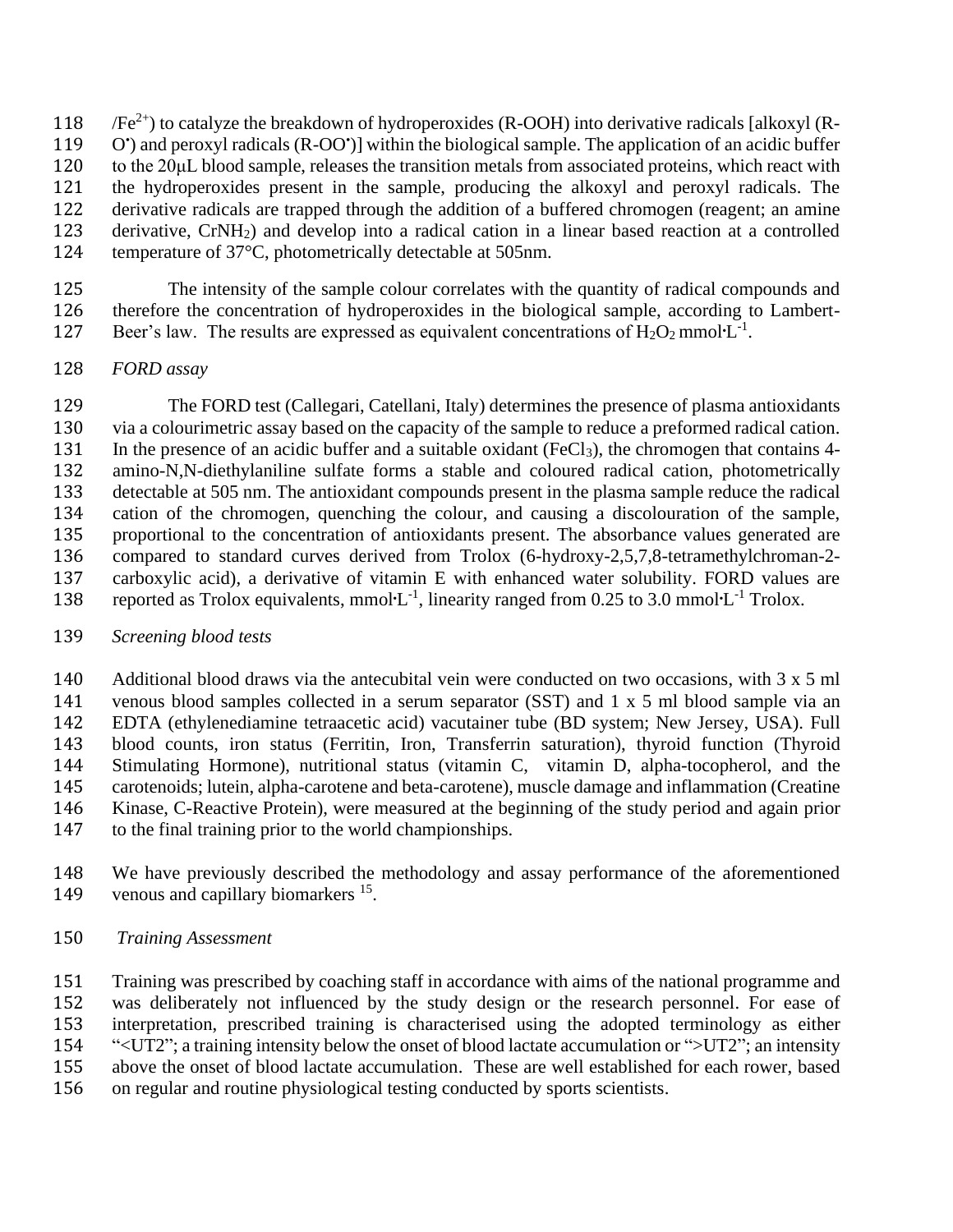118  $\sqrt{Fe^{2+}}$ ) to catalyze the breakdown of hydroperoxides (R-OOH) into derivative radicals [alkoxyl (R-119 O') and peroxyl radicals (R-OO')] within the biological sample. The application of an acidic buffer to the 20μL blood sample, releases the transition metals from associated proteins, which react with

- the hydroperoxides present in the sample, producing the alkoxyl and peroxyl radicals. The
- derivative radicals are trapped through the addition of a buffered chromogen (reagent; an amine
- derivative, CrNH2) and develop into a radical cation in a linear based reaction at a controlled
- temperature of 37°C, photometrically detectable at 505nm.
- The intensity of the sample colour correlates with the quantity of radical compounds and therefore the concentration of hydroperoxides in the biological sample, according to Lambert-127 Beer's law. The results are expressed as equivalent concentrations of  $H_2O_2$  mmol $L^{-1}$ .
- *FORD assay*

 The FORD test (Callegari, Catellani, Italy) determines the presence of plasma antioxidants via a colourimetric assay based on the capacity of the sample to reduce a preformed radical cation. 131 In the presence of an acidic buffer and a suitable oxidant (FeCl<sub>3</sub>), the chromogen that contains 4- amino-N,N-diethylaniline sulfate forms a stable and coloured radical cation, photometrically detectable at 505 nm. The antioxidant compounds present in the plasma sample reduce the radical cation of the chromogen, quenching the colour, and causing a discolouration of the sample, proportional to the concentration of antioxidants present. The absorbance values generated are compared to standard curves derived from Trolox (6-hydroxy-2,5,7,8-tetramethylchroman-2- carboxylic acid), a derivative of vitamin E with enhanced water solubility. FORD values are 138 reported as Trolox equivalents, mmol $L^{-1}$ , linearity ranged from 0.25 to 3.0 mmol $L^{-1}$  Trolox.

*Screening blood tests* 

 Additional blood draws via the antecubital vein were conducted on two occasions, with 3 x 5 ml venous blood samples collected in a serum separator (SST) and 1 x 5 ml blood sample via an EDTA (ethylenediamine tetraacetic acid) vacutainer tube (BD system; New Jersey, USA). Full blood counts, iron status (Ferritin, Iron, Transferrin saturation), thyroid function (Thyroid Stimulating Hormone), nutritional status (vitamin C, vitamin D, alpha-tocopherol, and the carotenoids; lutein, alpha-carotene and beta-carotene), muscle damage and inflammation (Creatine Kinase, C-Reactive Protein), were measured at the beginning of the study period and again prior to the final training prior to the world championships.

 We have previously described the methodology and assay performance of the aforementioned 149 venous and capillary biomarkers .

*Training Assessment*

 Training was prescribed by coaching staff in accordance with aims of the national programme and was deliberately not influenced by the study design or the research personnel. For ease of interpretation, prescribed training is characterised using the adopted terminology as either "<UT2"; a training intensity below the onset of blood lactate accumulation or ">UT2"; an intensity above the onset of blood lactate accumulation. These are well established for each rower, based on regular and routine physiological testing conducted by sports scientists.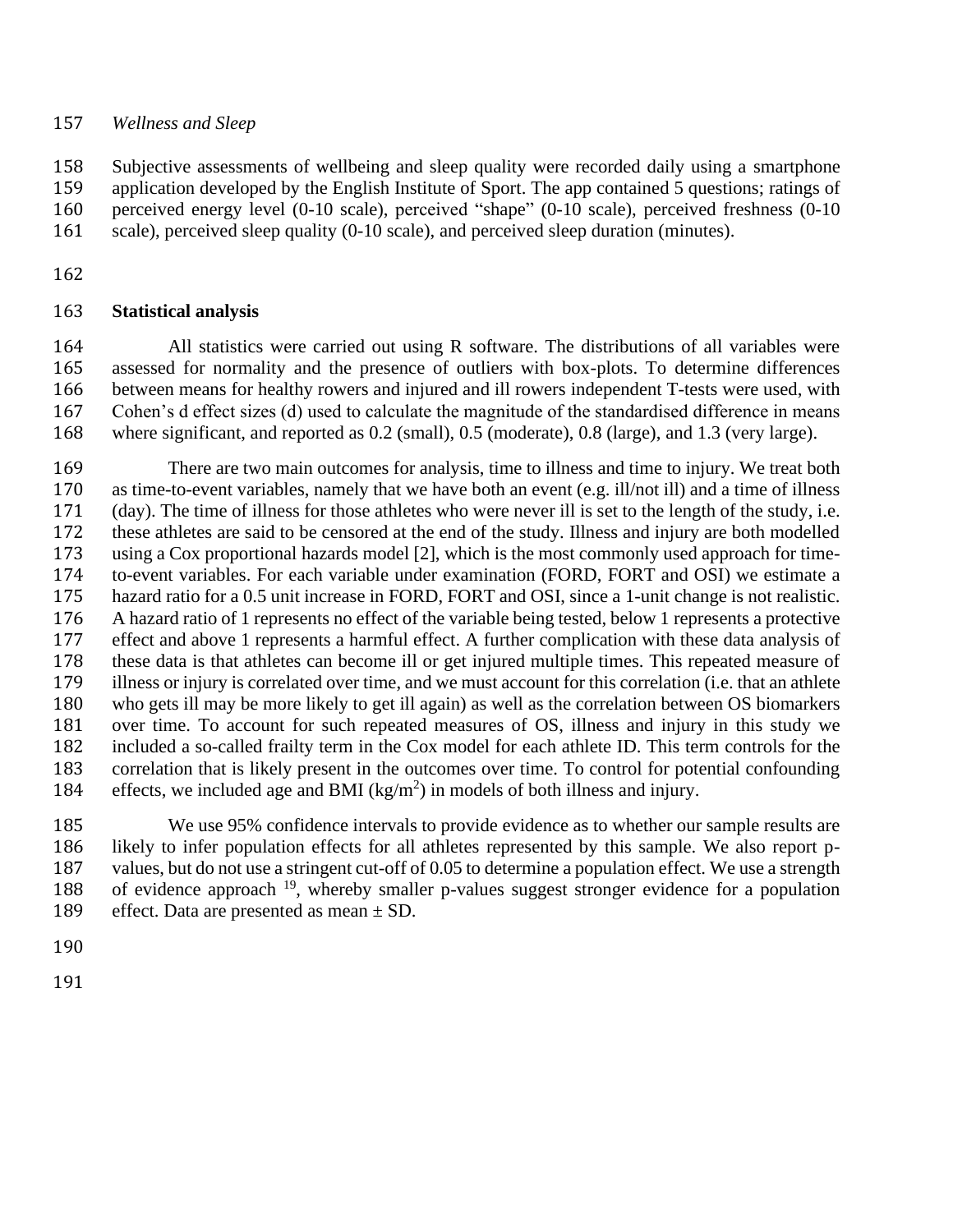### *Wellness and Sleep*

 Subjective assessments of wellbeing and sleep quality were recorded daily using a smartphone application developed by the English Institute of Sport. The app contained 5 questions; ratings of perceived energy level (0-10 scale), perceived "shape" (0-10 scale), perceived freshness (0-10 161 scale), perceived sleep quality (0-10 scale), and perceived sleep duration (minutes).

## **Statistical analysis**

 All statistics were carried out using R software. The distributions of all variables were assessed for normality and the presence of outliers with box-plots. To determine differences between means for healthy rowers and injured and ill rowers independent T-tests were used, with Cohen's d effect sizes (d) used to calculate the magnitude of the standardised difference in means where significant, and reported as 0.2 (small), 0.5 (moderate), 0.8 (large), and 1.3 (very large).

 There are two main outcomes for analysis, time to illness and time to injury. We treat both as time-to-event variables, namely that we have both an event (e.g. ill/not ill) and a time of illness (day). The time of illness for those athletes who were never ill is set to the length of the study, i.e. these athletes are said to be censored at the end of the study. Illness and injury are both modelled using a Cox proportional hazards model [2], which is the most commonly used approach for time- to-event variables. For each variable under examination (FORD, FORT and OSI) we estimate a hazard ratio for a 0.5 unit increase in FORD, FORT and OSI, since a 1-unit change is not realistic. A hazard ratio of 1 represents no effect of the variable being tested, below 1 represents a protective effect and above 1 represents a harmful effect. A further complication with these data analysis of these data is that athletes can become ill or get injured multiple times. This repeated measure of illness or injury is correlated over time, and we must account for this correlation (i.e. that an athlete who gets ill may be more likely to get ill again) as well as the correlation between OS biomarkers over time. To account for such repeated measures of OS, illness and injury in this study we included a so-called frailty term in the Cox model for each athlete ID. This term controls for the correlation that is likely present in the outcomes over time. To control for potential confounding 184 effects, we included age and BMI  $(kg/m^2)$  in models of both illness and injury.

 We use 95% confidence intervals to provide evidence as to whether our sample results are likely to infer population effects for all athletes represented by this sample. We also report p- values, but do not use a stringent cut-off of 0.05 to determine a population effect. We use a strength 188 of evidence approach , whereby smaller p-values suggest stronger evidence for a population 189 effect. Data are presented as mean  $\pm$  SD.

- 
-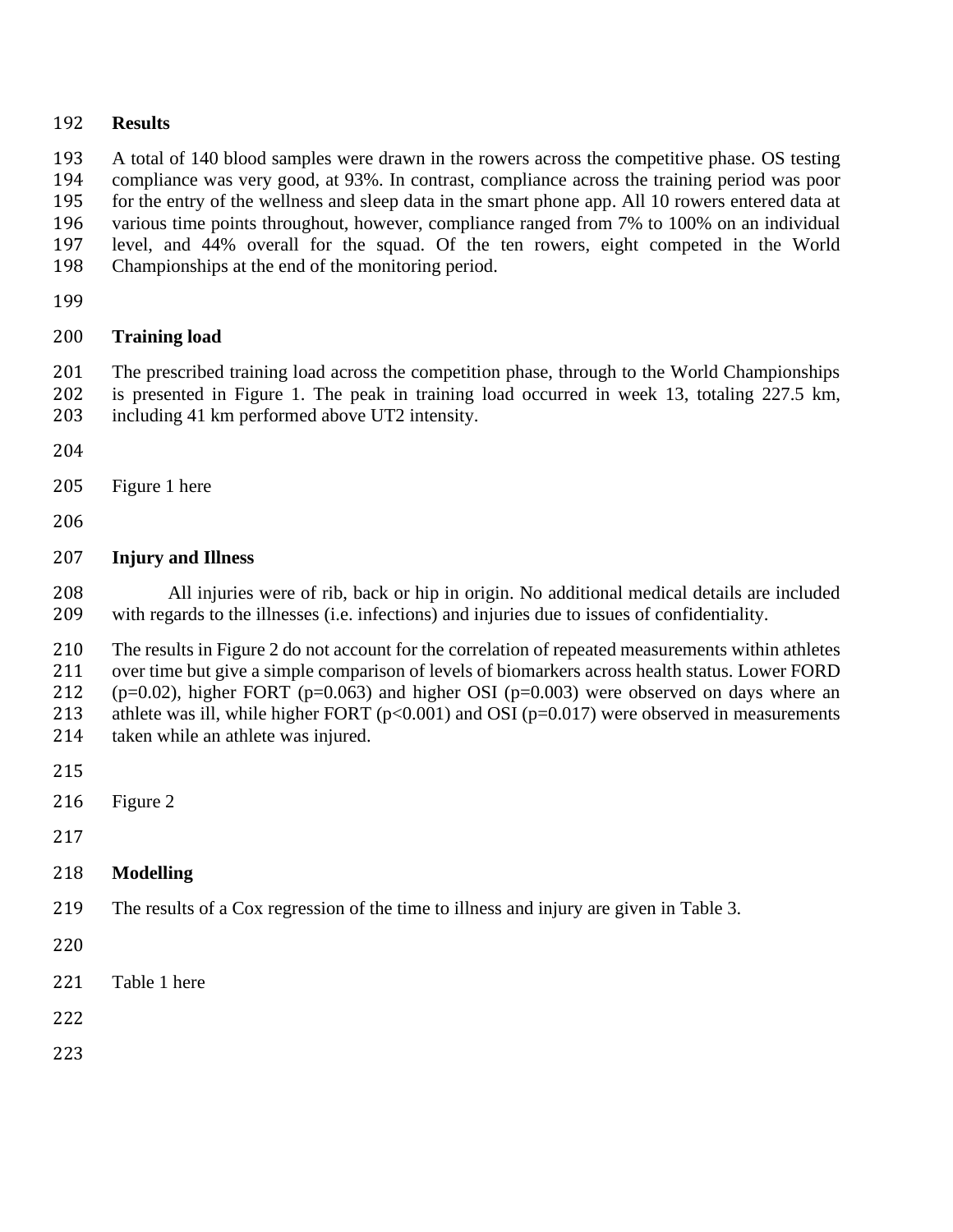#### **Results**

A total of 140 blood samples were drawn in the rowers across the competitive phase. OS testing

 compliance was very good, at 93%. In contrast, compliance across the training period was poor for the entry of the wellness and sleep data in the smart phone app. All 10 rowers entered data at various time points throughout, however, compliance ranged from 7% to 100% on an individual

level, and 44% overall for the squad. Of the ten rowers, eight competed in the World

- Championships at the end of the monitoring period.
- 

## **Training load**

 The prescribed training load across the competition phase, through to the World Championships is presented in Figure 1. The peak in training load occurred in week 13, totaling 227.5 km, including 41 km performed above UT2 intensity.

- 
- Figure 1 here
- 

## **Injury and Illness**

 All injuries were of rib, back or hip in origin. No additional medical details are included with regards to the illnesses (i.e. infections) and injuries due to issues of confidentiality.

 The results in Figure 2 do not account for the correlation of repeated measurements within athletes over time but give a simple comparison of levels of biomarkers across health status. Lower FORD 212 ( $p=0.02$ ), higher FORT ( $p=0.063$ ) and higher OSI ( $p=0.003$ ) were observed on days where an 213 athlete was ill, while higher FORT  $(p<0.001)$  and OSI  $(p=0.017)$  were observed in measurements

- taken while an athlete was injured.
- 
- Figure 2
- 
- **Modelling**
- The results of a Cox regression of the time to illness and injury are given in Table 3.
- 
- Table 1 here
- 
-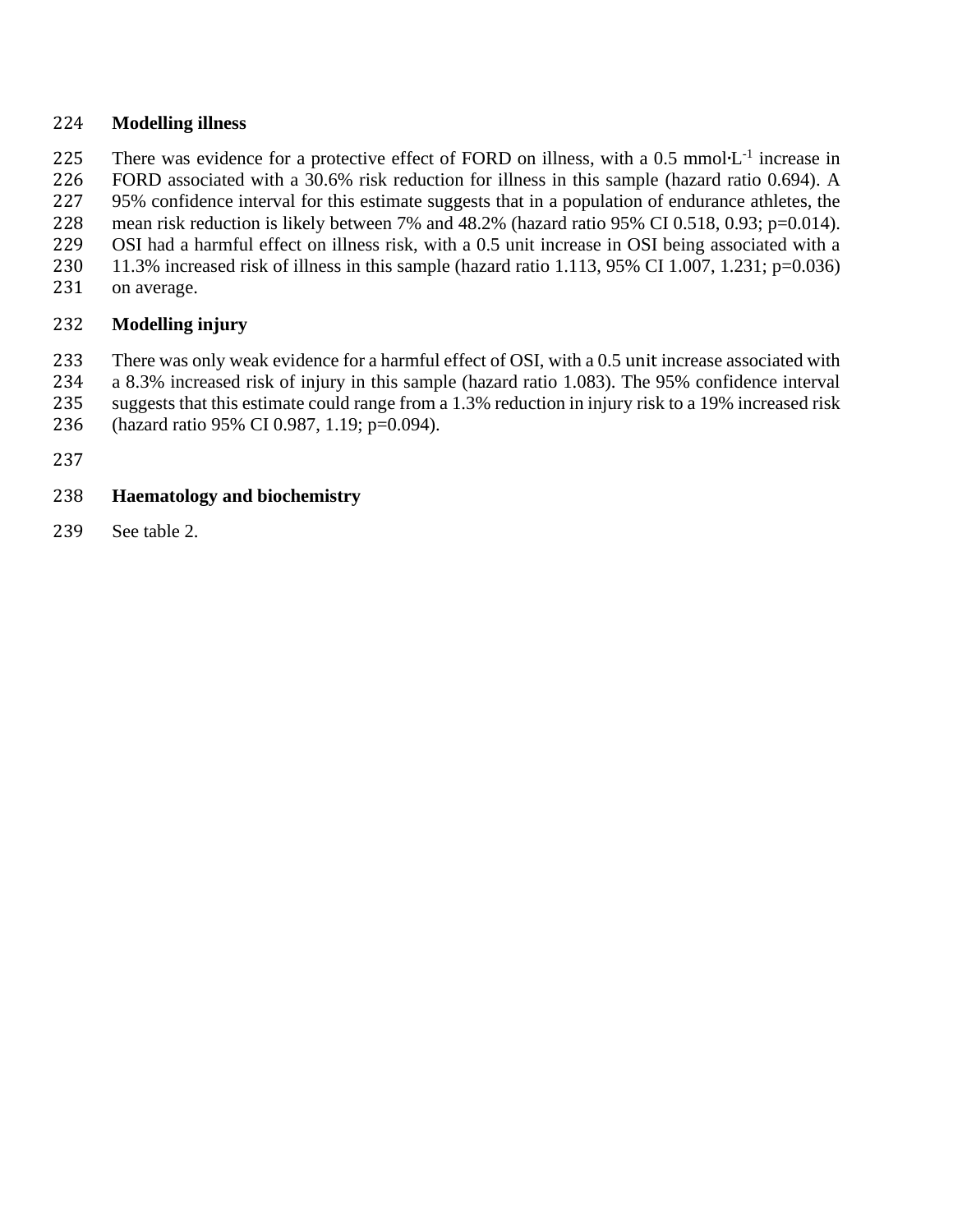### **Modelling illness**

225 There was evidence for a protective effect of FORD on illness, with a 0.5 mmol $L^{-1}$  increase in

FORD associated with a 30.6% risk reduction for illness in this sample (hazard ratio 0.694). A

 95% confidence interval for this estimate suggests that in a population of endurance athletes, the mean risk reduction is likely between 7% and 48.2% (hazard ratio 95% CI 0.518, 0.93; p=0.014).

OSI had a harmful effect on illness risk, with a 0.5 unit increase in OSI being associated with a

- 11.3% increased risk of illness in this sample (hazard ratio 1.113, 95% CI 1.007, 1.231; p=0.036)
- on average.

# **Modelling injury**

There was only weak evidence for a harmful effect of OSI, with a 0.5 unit increase associated with

a 8.3% increased risk of injury in this sample (hazard ratio 1.083). The 95% confidence interval

suggests that this estimate could range from a 1.3% reduction in injury risk to a 19% increased risk

(hazard ratio 95% CI 0.987, 1.19; p=0.094).

# **Haematology and biochemistry**

See table 2.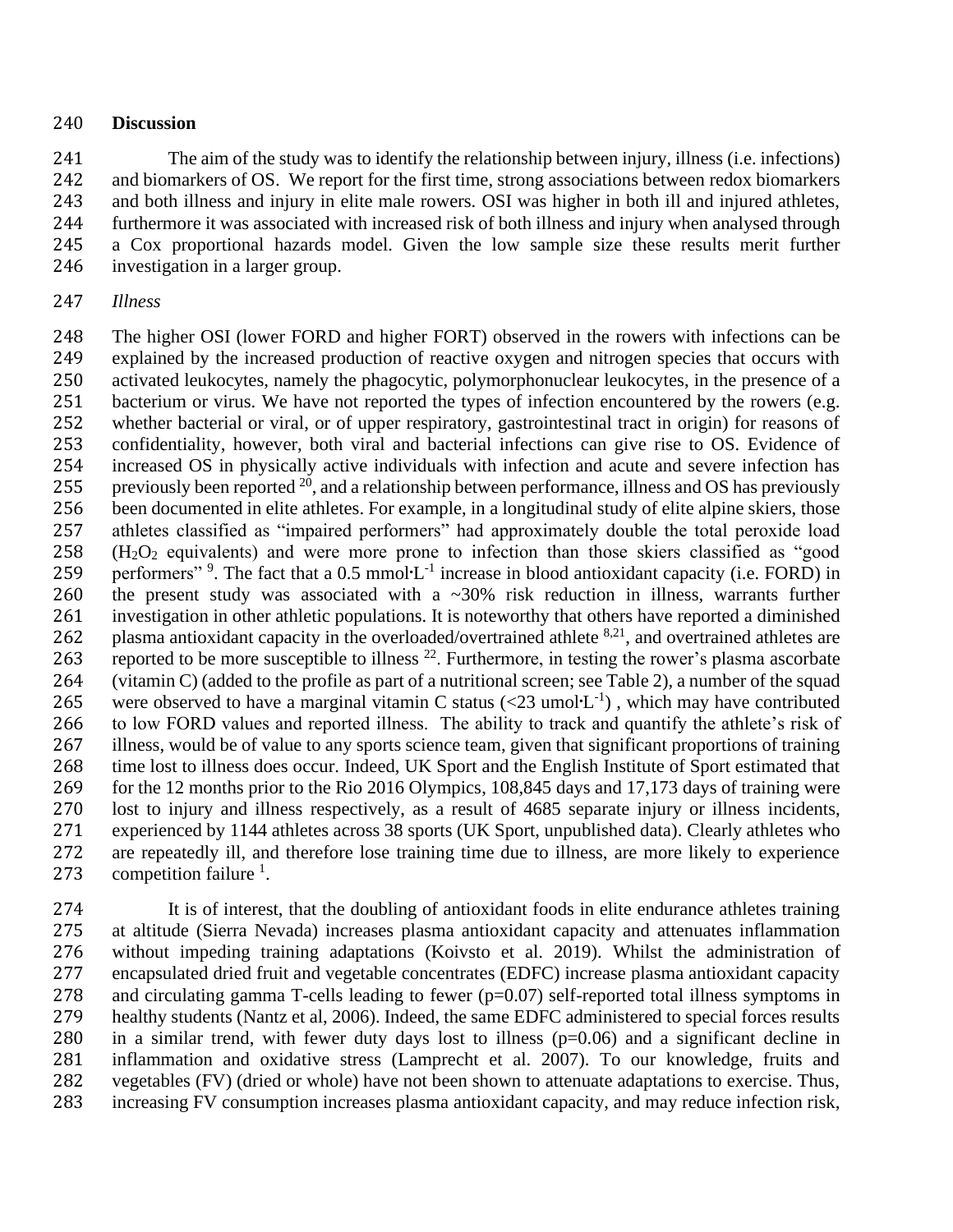### **Discussion**

 The aim of the study was to identify the relationship between injury, illness (i.e. infections) and biomarkers of OS. We report for the first time, strong associations between redox biomarkers and both illness and injury in elite male rowers. OSI was higher in both ill and injured athletes, furthermore it was associated with increased risk of both illness and injury when analysed through a Cox proportional hazards model. Given the low sample size these results merit further investigation in a larger group.

### *Illness*

 The higher OSI (lower FORD and higher FORT) observed in the rowers with infections can be explained by the increased production of reactive oxygen and nitrogen species that occurs with activated leukocytes, namely the phagocytic, polymorphonuclear leukocytes, in the presence of a 251 bacterium or virus. We have not reported the types of infection encountered by the rowers (e.g. whether bacterial or viral, or of upper respiratory, gastrointestinal tract in origin) for reasons of confidentiality, however, both viral and bacterial infections can give rise to OS. Evidence of increased OS in physically active individuals with infection and acute and severe infection has 255 previously been reported , and a relationship between performance, illness and OS has previously been documented in elite athletes. For example, in a longitudinal study of elite alpine skiers, those athletes classified as "impaired performers" had approximately double the total peroxide load (H<sub>2</sub>O<sub>2</sub> equivalents) and were more prone to infection than those skiers classified as "good 259 performers" <sup>9</sup>. The fact that a 0.5 mmol $L^{-1}$  increase in blood antioxidant capacity (i.e. FORD) in the present study was associated with a ~30% risk reduction in illness, warrants further investigation in other athletic populations. It is noteworthy that others have reported a diminished 262 plasma antioxidant capacity in the overloaded/overtrained athlete  $8,21$ , and overtrained athletes are 263 reported to be more susceptible to illness  $^{22}$ . Furthermore, in testing the rower's plasma ascorbate (vitamin C) (added to the profile as part of a nutritional screen; see Table 2), a number of the squad 265 were observed to have a marginal vitamin C status  $(<23 \text{ umol·L}^{-1})$ , which may have contributed to low FORD values and reported illness. The ability to track and quantify the athlete's risk of illness, would be of value to any sports science team, given that significant proportions of training time lost to illness does occur. Indeed, UK Sport and the English Institute of Sport estimated that for the 12 months prior to the Rio 2016 Olympics, 108,845 days and 17,173 days of training were lost to injury and illness respectively, as a result of 4685 separate injury or illness incidents, experienced by 1144 athletes across 38 sports (UK Sport, unpublished data). Clearly athletes who are repeatedly ill, and therefore lose training time due to illness, are more likely to experience 273 competition failure  $\frac{1}{2}$ .

 It is of interest, that the doubling of antioxidant foods in elite endurance athletes training at altitude (Sierra Nevada) increases plasma antioxidant capacity and attenuates inflammation without impeding training adaptations (Koivsto et al. 2019). Whilst the administration of encapsulated dried fruit and vegetable concentrates (EDFC) increase plasma antioxidant capacity and circulating gamma T-cells leading to fewer (p=0.07) self-reported total illness symptoms in healthy students (Nantz et al, 2006). Indeed, the same EDFC administered to special forces results 280 in a similar trend, with fewer duty days lost to illness  $(p=0.06)$  and a significant decline in inflammation and oxidative stress (Lamprecht et al. 2007). To our knowledge, fruits and vegetables (FV) (dried or whole) have not been shown to attenuate adaptations to exercise. Thus, increasing FV consumption increases plasma antioxidant capacity, and may reduce infection risk,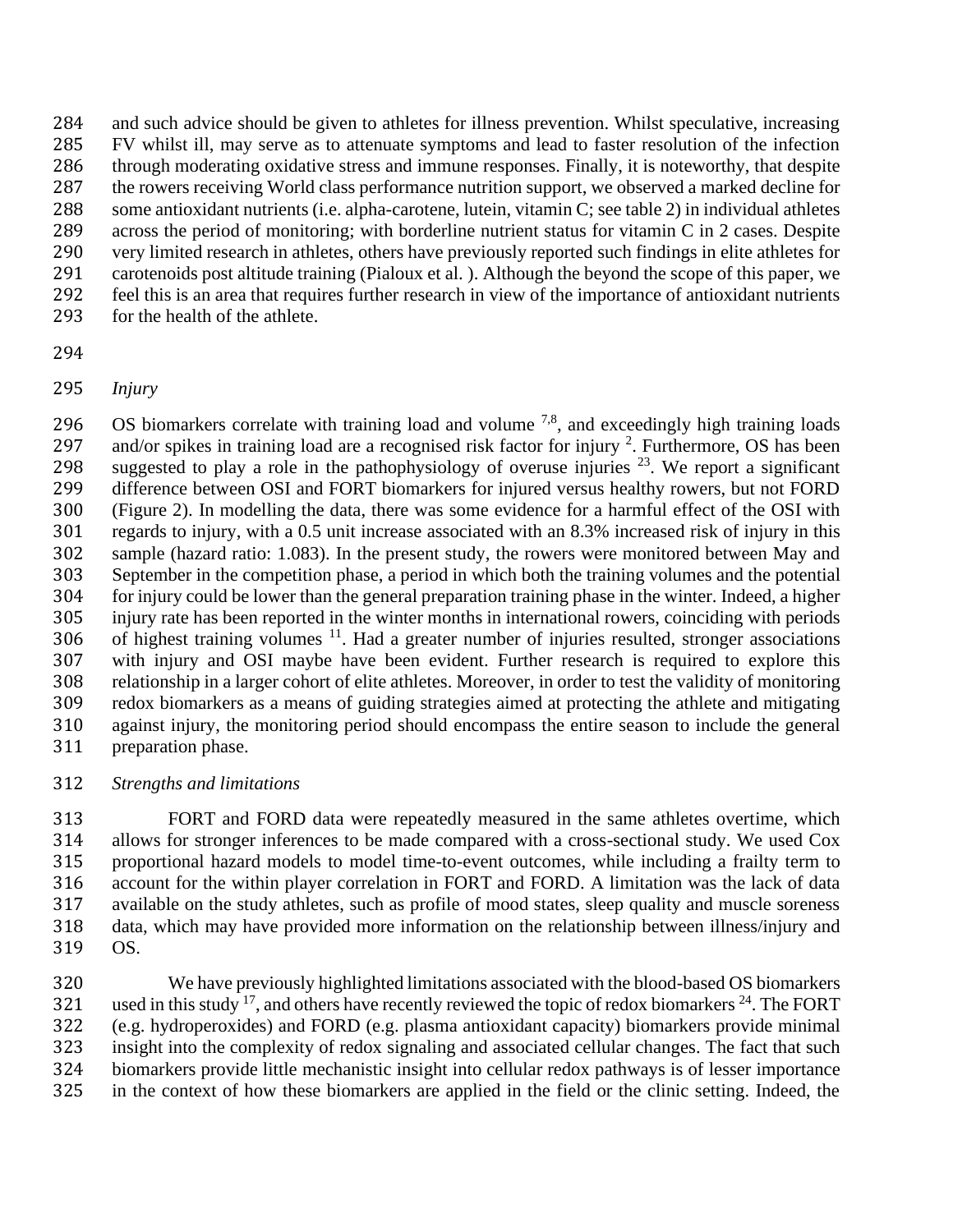and such advice should be given to athletes for illness prevention. Whilst speculative, increasing FV whilst ill, may serve as to attenuate symptoms and lead to faster resolution of the infection through moderating oxidative stress and immune responses. Finally, it is noteworthy, that despite the rowers receiving World class performance nutrition support, we observed a marked decline for some antioxidant nutrients (i.e. alpha-carotene, lutein, vitamin C; see table 2) in individual athletes across the period of monitoring; with borderline nutrient status for vitamin C in 2 cases. Despite very limited research in athletes, others have previously reported such findings in elite athletes for carotenoids post altitude training (Pialoux et al. ). Although the beyond the scope of this paper, we feel this is an area that requires further research in view of the importance of antioxidant nutrients for the health of the athlete.

- 
- *Injury*

 $\,$  OS biomarkers correlate with training load and volume  $^{7,8}$ , and exceedingly high training loads 297 and/or spikes in training load are a recognised risk factor for injury . Furthermore, OS has been 298 suggested to play a role in the pathophysiology of overuse injuries  $^{23}$ . We report a significant difference between OSI and FORT biomarkers for injured versus healthy rowers, but not FORD (Figure 2). In modelling the data, there was some evidence for a harmful effect of the OSI with regards to injury, with a 0.5 unit increase associated with an 8.3% increased risk of injury in this sample (hazard ratio: 1.083). In the present study, the rowers were monitored between May and September in the competition phase, a period in which both the training volumes and the potential for injury could be lower than the general preparation training phase in the winter. Indeed, a higher injury rate has been reported in the winter months in international rowers, coinciding with periods of highest training volumes  $11$ . Had a greater number of injuries resulted, stronger associations with injury and OSI maybe have been evident. Further research is required to explore this relationship in a larger cohort of elite athletes. Moreover, in order to test the validity of monitoring redox biomarkers as a means of guiding strategies aimed at protecting the athlete and mitigating against injury, the monitoring period should encompass the entire season to include the general preparation phase.

*Strengths and limitations*

 FORT and FORD data were repeatedly measured in the same athletes overtime, which allows for stronger inferences to be made compared with a cross-sectional study. We used Cox proportional hazard models to model time-to-event outcomes, while including a frailty term to account for the within player correlation in FORT and FORD. A limitation was the lack of data available on the study athletes, such as profile of mood states, sleep quality and muscle soreness data, which may have provided more information on the relationship between illness/injury and OS.

 We have previously highlighted limitations associated with the blood-based OS biomarkers 321 used in this study <sup>17</sup>, and others have recently reviewed the topic of redox biomarkers <sup>24</sup>. The FORT (e.g. hydroperoxides) and FORD (e.g. plasma antioxidant capacity) biomarkers provide minimal insight into the complexity of redox signaling and associated cellular changes. The fact that such biomarkers provide little mechanistic insight into cellular redox pathways is of lesser importance in the context of how these biomarkers are applied in the field or the clinic setting. Indeed, the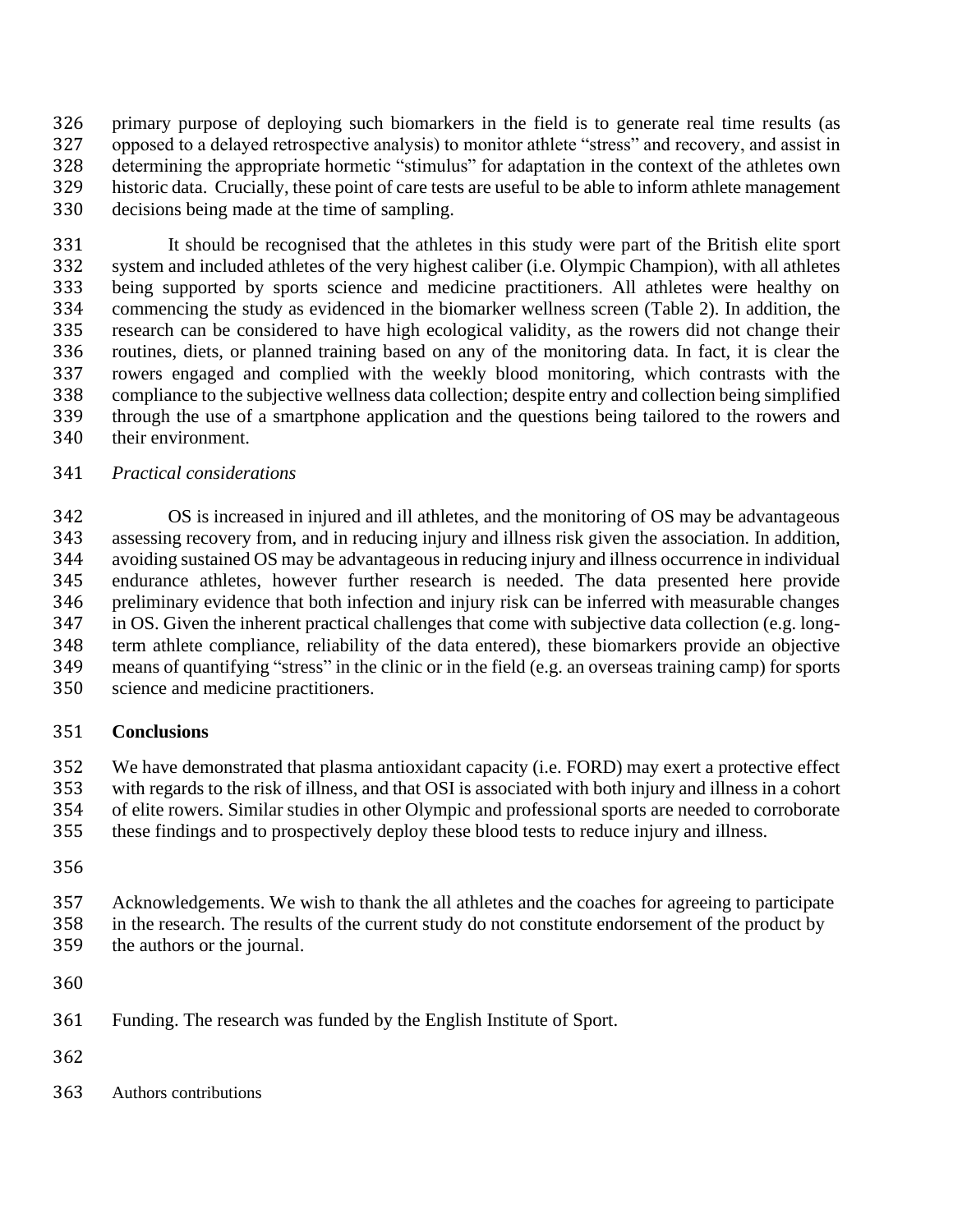primary purpose of deploying such biomarkers in the field is to generate real time results (as opposed to a delayed retrospective analysis) to monitor athlete "stress" and recovery, and assist in determining the appropriate hormetic "stimulus" for adaptation in the context of the athletes own historic data. Crucially, these point of care tests are useful to be able to inform athlete management decisions being made at the time of sampling.

 It should be recognised that the athletes in this study were part of the British elite sport system and included athletes of the very highest caliber (i.e. Olympic Champion), with all athletes being supported by sports science and medicine practitioners. All athletes were healthy on commencing the study as evidenced in the biomarker wellness screen (Table 2). In addition, the research can be considered to have high ecological validity, as the rowers did not change their routines, diets, or planned training based on any of the monitoring data. In fact, it is clear the rowers engaged and complied with the weekly blood monitoring, which contrasts with the compliance to the subjective wellness data collection; despite entry and collection being simplified through the use of a smartphone application and the questions being tailored to the rowers and their environment.

## *Practical considerations*

 OS is increased in injured and ill athletes, and the monitoring of OS may be advantageous assessing recovery from, and in reducing injury and illness risk given the association. In addition, avoiding sustained OS may be advantageous in reducing injury and illness occurrence in individual endurance athletes, however further research is needed. The data presented here provide preliminary evidence that both infection and injury risk can be inferred with measurable changes in OS. Given the inherent practical challenges that come with subjective data collection (e.g. long- term athlete compliance, reliability of the data entered), these biomarkers provide an objective means of quantifying "stress" in the clinic or in the field (e.g. an overseas training camp) for sports science and medicine practitioners.

# **Conclusions**

We have demonstrated that plasma antioxidant capacity (i.e. FORD) may exert a protective effect

with regards to the risk of illness, and that OSI is associated with both injury and illness in a cohort

of elite rowers. Similar studies in other Olympic and professional sports are needed to corroborate

these findings and to prospectively deploy these blood tests to reduce injury and illness.

Acknowledgements. We wish to thank the all athletes and the coaches for agreeing to participate

in the research. The results of the current study do not constitute endorsement of the product by

the authors or the journal.

- Funding. The research was funded by the English Institute of Sport.
- 
- Authors contributions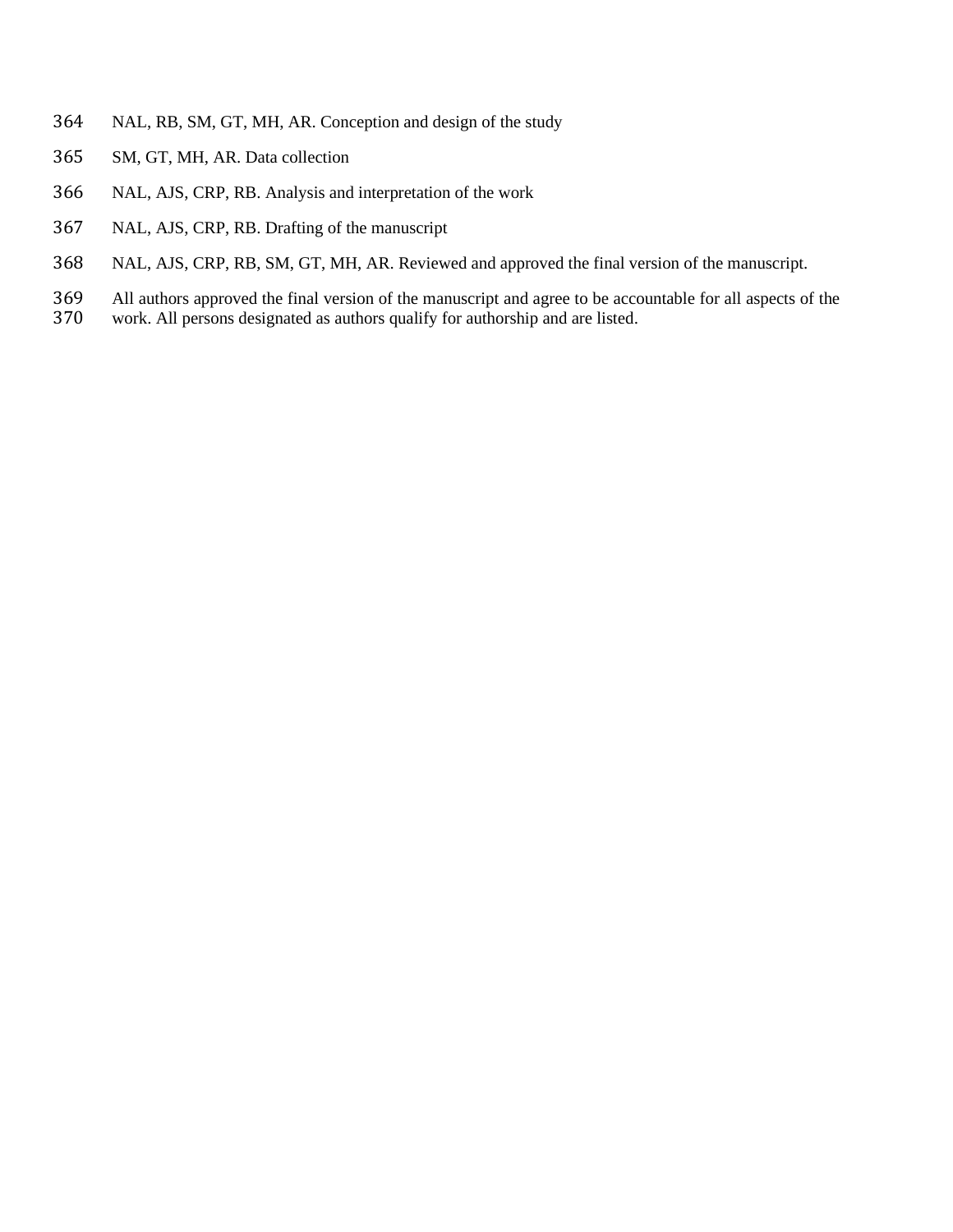- NAL, RB, SM, GT, MH, AR. Conception and design of the study
- SM, GT, MH, AR. Data collection
- NAL, AJS, CRP, RB. Analysis and interpretation of the work
- NAL, AJS, CRP, RB. Drafting of the manuscript
- NAL, AJS, CRP, RB, SM, GT, MH, AR. Reviewed and approved the final version of the manuscript.
- All authors approved the final version of the manuscript and agree to be accountable for all aspects of the
- work. All persons designated as authors qualify for authorship and are listed.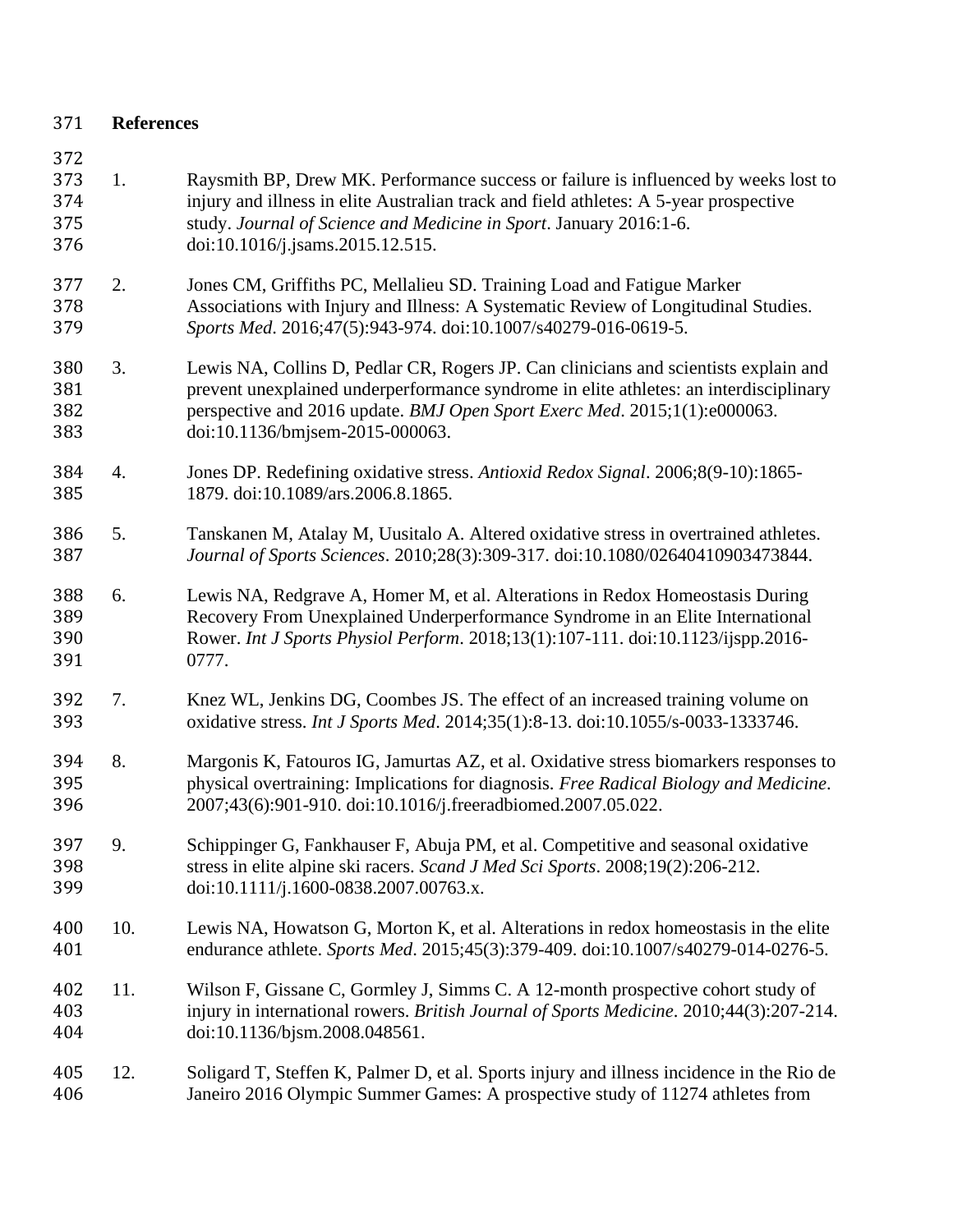| 371                             | <b>References</b> |                                                                                                                                                                                                                                                                                               |
|---------------------------------|-------------------|-----------------------------------------------------------------------------------------------------------------------------------------------------------------------------------------------------------------------------------------------------------------------------------------------|
| 372<br>373<br>374<br>375<br>376 | 1.                | Raysmith BP, Drew MK. Performance success or failure is influenced by weeks lost to<br>injury and illness in elite Australian track and field athletes: A 5-year prospective<br>study. Journal of Science and Medicine in Sport. January 2016:1-6.<br>doi:10.1016/j.jsams.2015.12.515.        |
| 377<br>378<br>379               | 2.                | Jones CM, Griffiths PC, Mellalieu SD. Training Load and Fatigue Marker<br>Associations with Injury and Illness: A Systematic Review of Longitudinal Studies.<br>Sports Med. 2016;47(5):943-974. doi:10.1007/s40279-016-0619-5.                                                                |
| 380<br>381<br>382<br>383        | 3.                | Lewis NA, Collins D, Pedlar CR, Rogers JP. Can clinicians and scientists explain and<br>prevent unexplained underperformance syndrome in elite athletes: an interdisciplinary<br>perspective and 2016 update. BMJ Open Sport Exerc Med. 2015;1(1):e000063.<br>doi:10.1136/bmjsem-2015-000063. |
| 384<br>385                      | 4.                | Jones DP. Redefining oxidative stress. Antioxid Redox Signal. 2006;8(9-10):1865-<br>1879. doi:10.1089/ars.2006.8.1865.                                                                                                                                                                        |
| 386<br>387                      | 5.                | Tanskanen M, Atalay M, Uusitalo A. Altered oxidative stress in overtrained athletes.<br>Journal of Sports Sciences. 2010;28(3):309-317. doi:10.1080/02640410903473844.                                                                                                                        |
| 388<br>389<br>390<br>391        | 6.                | Lewis NA, Redgrave A, Homer M, et al. Alterations in Redox Homeostasis During<br>Recovery From Unexplained Underperformance Syndrome in an Elite International<br>Rower. Int J Sports Physiol Perform. 2018;13(1):107-111. doi:10.1123/ijspp.2016-<br>0777.                                   |
| 392<br>393                      | 7.                | Knez WL, Jenkins DG, Coombes JS. The effect of an increased training volume on<br>oxidative stress. Int J Sports Med. 2014;35(1):8-13. doi:10.1055/s-0033-1333746.                                                                                                                            |
| 394<br>395<br>396               | 8.                | Margonis K, Fatouros IG, Jamurtas AZ, et al. Oxidative stress biomarkers responses to<br>physical overtraining: Implications for diagnosis. Free Radical Biology and Medicine.<br>2007;43(6):901-910. doi:10.1016/j.freeradbiomed.2007.05.022                                                 |
| 397<br>398<br>399               | 9.                | Schippinger G, Fankhauser F, Abuja PM, et al. Competitive and seasonal oxidative<br>stress in elite alpine ski racers. Scand J Med Sci Sports. 2008;19(2):206-212.<br>doi:10.1111/j.1600-0838.2007.00763.x.                                                                                   |
| 400<br>401                      | 10.               | Lewis NA, Howatson G, Morton K, et al. Alterations in redox homeostasis in the elite<br>endurance athlete. Sports Med. 2015;45(3):379-409. doi:10.1007/s40279-014-0276-5.                                                                                                                     |
| 402<br>403<br>404               | 11.               | Wilson F, Gissane C, Gormley J, Simms C. A 12-month prospective cohort study of<br>injury in international rowers. British Journal of Sports Medicine. 2010;44(3):207-214.<br>doi:10.1136/bjsm.2008.048561.                                                                                   |
| 405<br>406                      | 12.               | Soligard T, Steffen K, Palmer D, et al. Sports injury and illness incidence in the Rio de<br>Janeiro 2016 Olympic Summer Games: A prospective study of 11274 athletes from                                                                                                                    |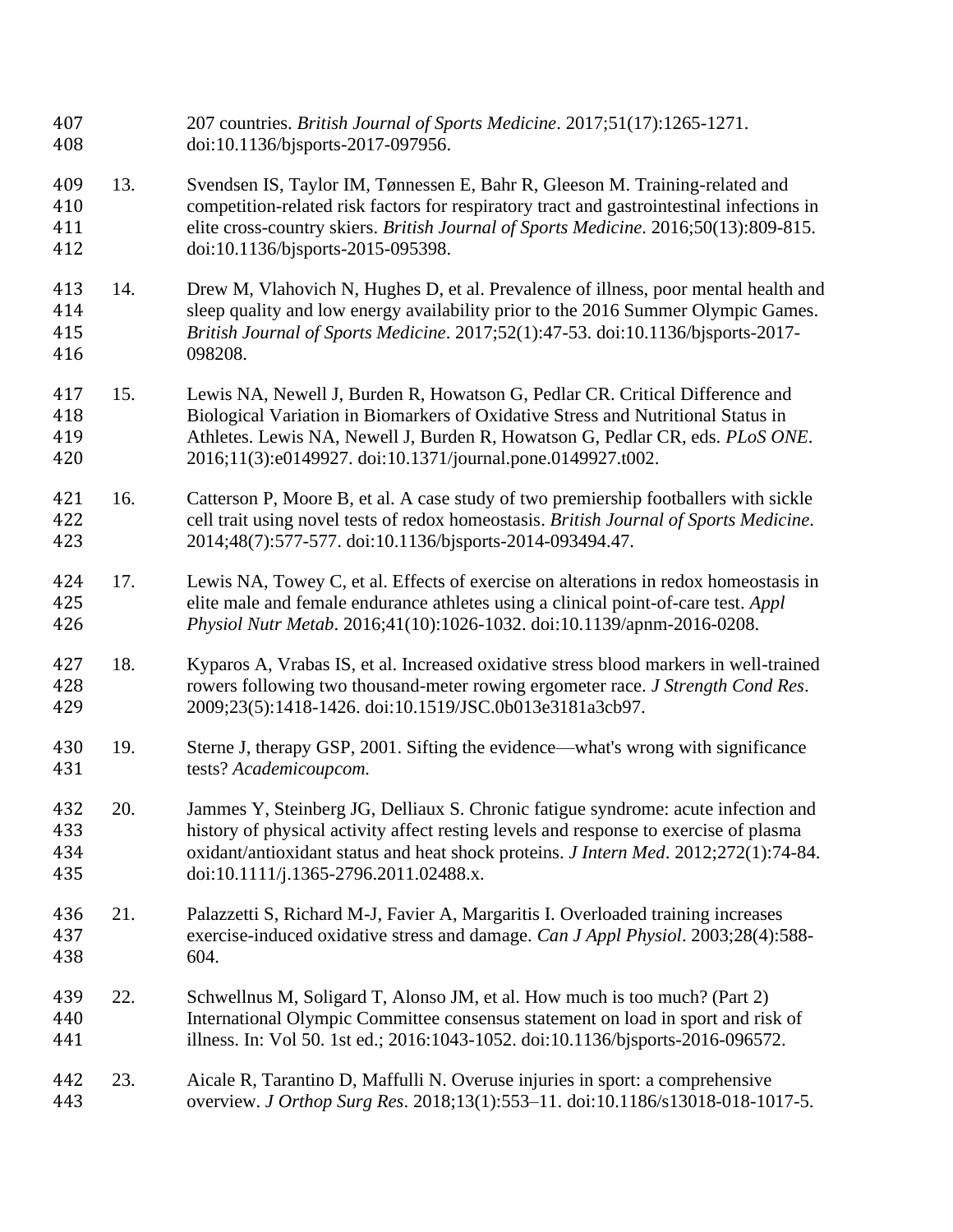| 407<br>408               |     | 207 countries. British Journal of Sports Medicine. 2017;51(17):1265-1271.<br>doi:10.1136/bjsports-2017-097956.                                                                                                                                                                                                   |
|--------------------------|-----|------------------------------------------------------------------------------------------------------------------------------------------------------------------------------------------------------------------------------------------------------------------------------------------------------------------|
| 409<br>410<br>411<br>412 | 13. | Svendsen IS, Taylor IM, Tønnessen E, Bahr R, Gleeson M. Training-related and<br>competition-related risk factors for respiratory tract and gastrointestinal infections in<br>elite cross-country skiers. British Journal of Sports Medicine. 2016;50(13):809-815.<br>doi:10.1136/bjsports-2015-095398.           |
| 413<br>414<br>415<br>416 | 14. | Drew M, Vlahovich N, Hughes D, et al. Prevalence of illness, poor mental health and<br>sleep quality and low energy availability prior to the 2016 Summer Olympic Games.<br>British Journal of Sports Medicine. 2017;52(1):47-53. doi:10.1136/bjsports-2017-<br>098208.                                          |
| 417<br>418<br>419<br>420 | 15. | Lewis NA, Newell J, Burden R, Howatson G, Pedlar CR. Critical Difference and<br>Biological Variation in Biomarkers of Oxidative Stress and Nutritional Status in<br>Athletes. Lewis NA, Newell J, Burden R, Howatson G, Pedlar CR, eds. PLoS ONE.<br>2016;11(3):e0149927. doi:10.1371/journal.pone.0149927.t002. |
| 421<br>422<br>423        | 16. | Catterson P, Moore B, et al. A case study of two premiership footballers with sickle<br>cell trait using novel tests of redox homeostasis. British Journal of Sports Medicine.<br>2014;48(7):577-577. doi:10.1136/bjsports-2014-093494.47.                                                                       |
| 424<br>425<br>426        | 17. | Lewis NA, Towey C, et al. Effects of exercise on alterations in redox homeostasis in<br>elite male and female endurance athletes using a clinical point-of-care test. Appl<br>Physiol Nutr Metab. 2016;41(10):1026-1032. doi:10.1139/apnm-2016-0208.                                                             |
| 427<br>428<br>429        | 18. | Kyparos A, Vrabas IS, et al. Increased oxidative stress blood markers in well-trained<br>rowers following two thousand-meter rowing ergometer race. J Strength Cond Res.<br>2009;23(5):1418-1426. doi:10.1519/JSC.0b013e3181a3cb97.                                                                              |
| 430<br>431               | 19. | Sterne J, therapy GSP, 2001. Sifting the evidence—what's wrong with significance<br>tests? Academicoupcom.                                                                                                                                                                                                       |
| 432<br>433<br>434<br>435 | 20. | Jammes Y, Steinberg JG, Delliaux S. Chronic fatigue syndrome: acute infection and<br>history of physical activity affect resting levels and response to exercise of plasma<br>oxidant/antioxidant status and heat shock proteins. J Intern Med. 2012;272(1):74-84.<br>doi:10.1111/j.1365-2796.2011.02488.x.      |
| 436<br>437<br>438        | 21. | Palazzetti S, Richard M-J, Favier A, Margaritis I. Overloaded training increases<br>exercise-induced oxidative stress and damage. Can J Appl Physiol. 2003;28(4):588-<br>604.                                                                                                                                    |
| 439<br>440<br>441        | 22. | Schwellnus M, Soligard T, Alonso JM, et al. How much is too much? (Part 2)<br>International Olympic Committee consensus statement on load in sport and risk of<br>illness. In: Vol 50. 1st ed.; 2016:1043-1052. doi:10.1136/bjsports-2016-096572.                                                                |
| 442<br>443               | 23. | Aicale R, Tarantino D, Maffulli N. Overuse injuries in sport: a comprehensive<br>overview. J Orthop Surg Res. 2018;13(1):553-11. doi:10.1186/s13018-018-1017-5.                                                                                                                                                  |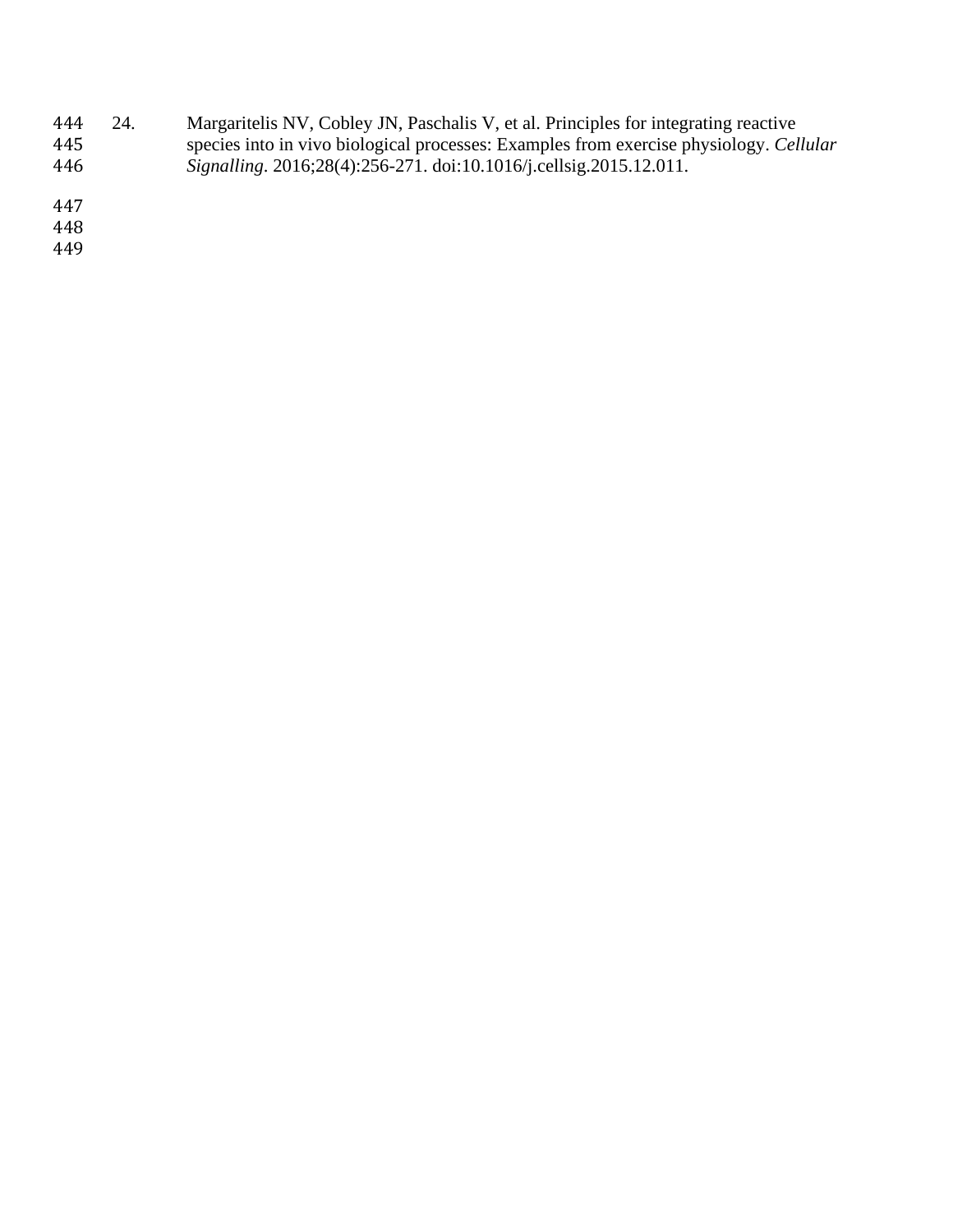444 24. Margaritelis NV, Cobley JN, Paschalis V, et al. Principles for integrating reactive species into in vivo biological processes: Examples from exercise physiology. Cel. species into in vivo biological processes: Examples from exercise physiology. *Cellular Signalling*. 2016;28(4):256-271. doi:10.1016/j.cellsig.2015.12.011.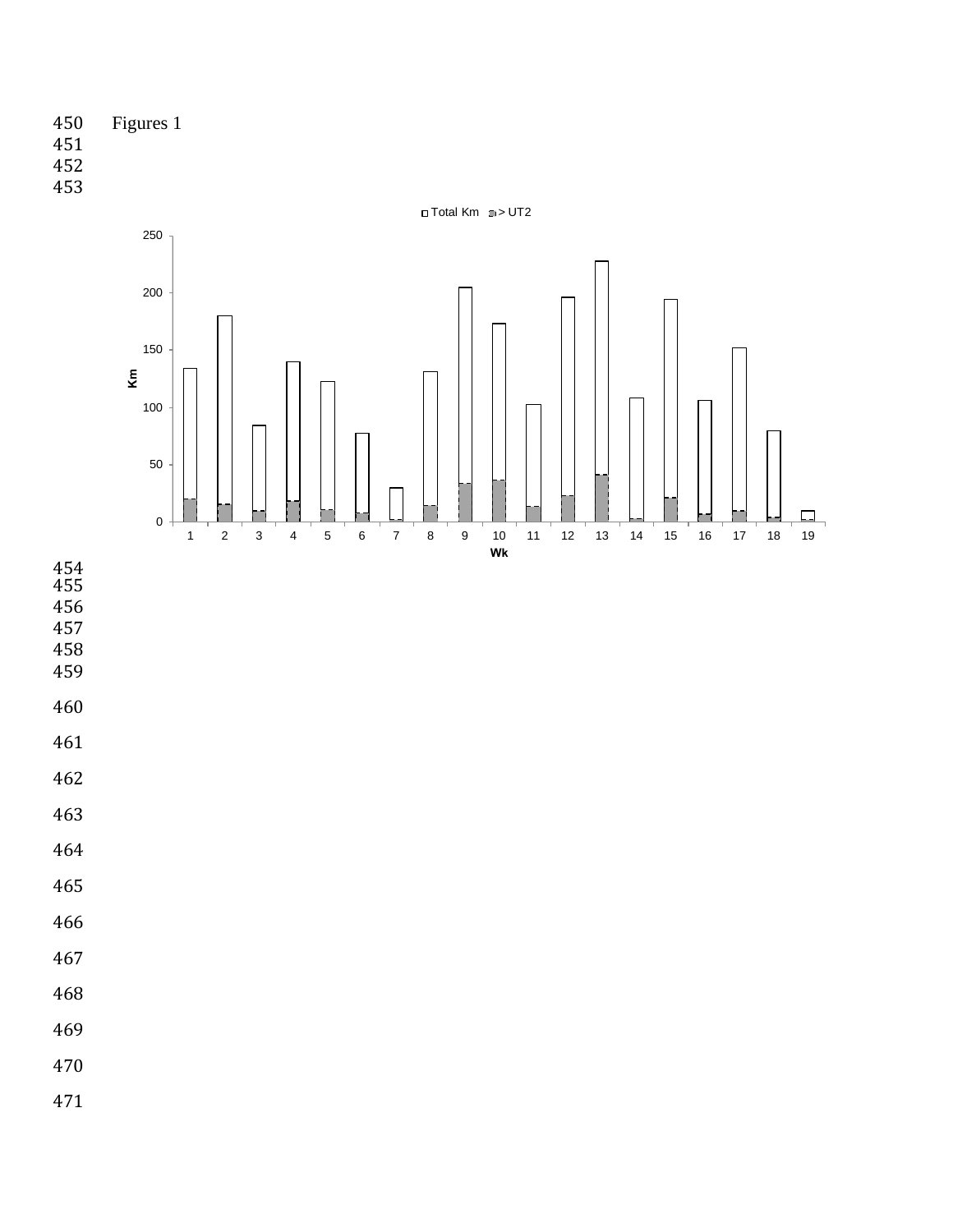

- 
- 
- 



- 
- 
- 
- 
- 
- 
- 
- 
- 
- 
- 
- 
- 
- 
- 
- 
- 
- 
-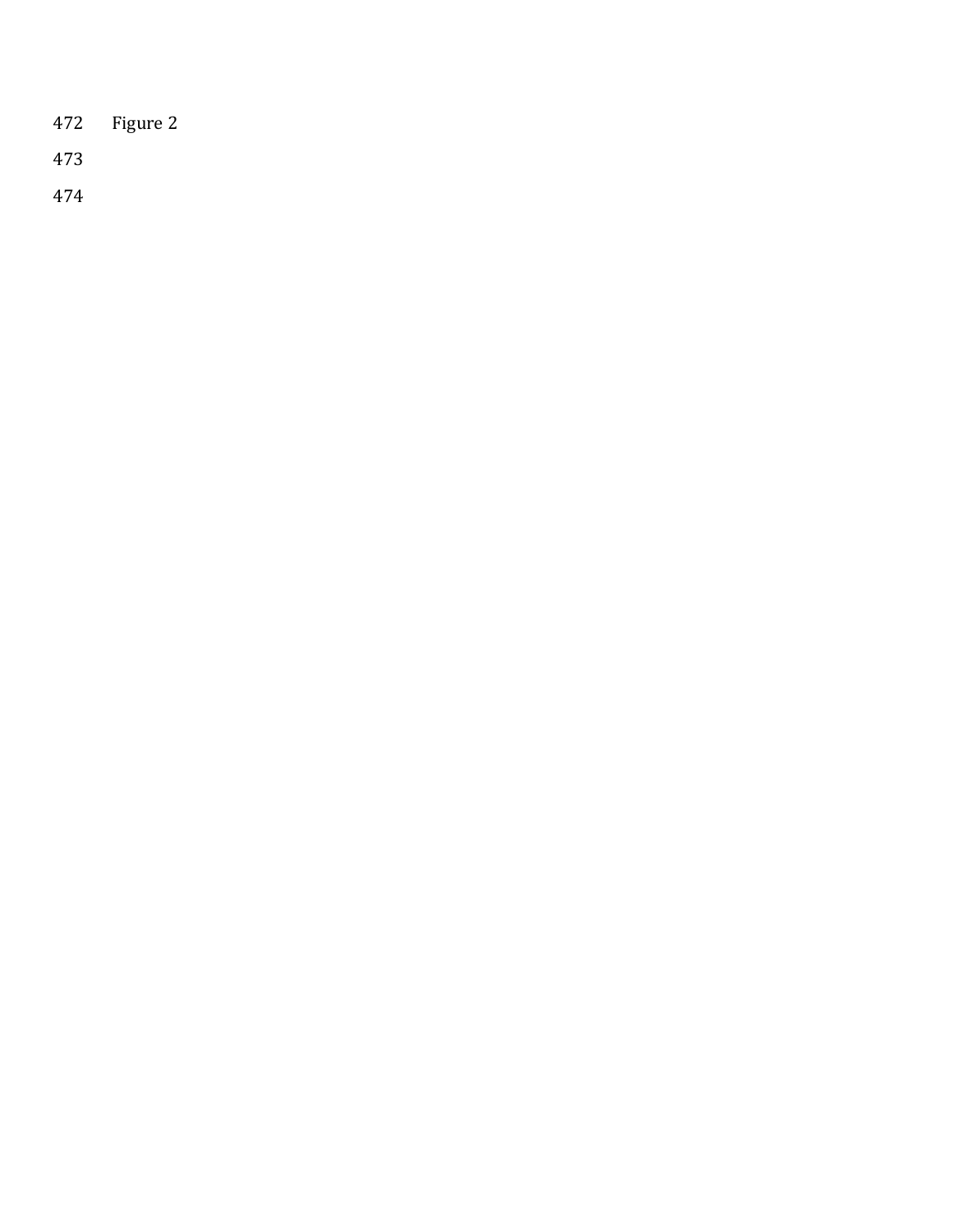| 472 | Figure 2 |  |
|-----|----------|--|
|     |          |  |